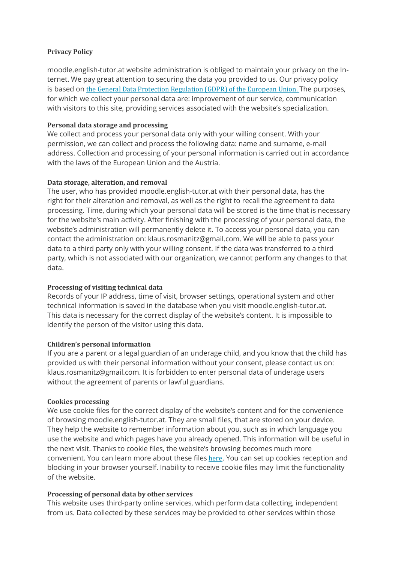# **Privacy Policy**

moodle.english-tutor.at website administration is obliged to maintain your privacy on the Internet. We pay great attention to securing the data you provided to us. Our privacy policy is based on [the General Data Protection Regulation \(GDPR\) of the European Union.](https://ec.europa.eu/info/law/law-topic/data-protection_en) The purposes, for which we collect your personal data are: improvement of our service, communication with visitors to this site, providing services associated with the website's specialization.

## **Personal data storage and processing**

We collect and process your personal data only with your willing consent. With your permission, we can collect and process the following data: name and surname, e-mail address. Collection and processing of your personal information is carried out in accordance with the laws of the European Union and the Austria.

## **Data storage, alteration, and removal**

The user, who has provided moodle.english-tutor.at with their personal data, has the right for their alteration and removal, as well as the right to recall the agreement to data processing. Time, during which your personal data will be stored is the time that is necessary for the website's main activity. After finishing with the processing of your personal data, the website's administration will permanently delete it. To access your personal data, you can contact the administration on: klaus.rosmanitz@gmail.com. We will be able to pass your data to a third party only with your willing consent. If the data was transferred to a third party, which is not associated with our organization, we cannot perform any changes to that data.

## **Processing of visiting technical data**

Records of your IP address, time of visit, browser settings, operational system and other technical information is saved in the database when you visit moodle.english-tutor.at. This data is necessary for the correct display of the website's content. It is impossible to identify the person of the visitor using this data.

## **Children's personal information**

If you are a parent or a legal guardian of an underage child, and you know that the child has provided us with their personal information without your consent, please contact us on: klaus.rosmanitz@gmail.com. It is forbidden to enter personal data of underage users without the agreement of parents or lawful guardians.

## **Cookies processing**

We use cookie files for the correct display of the website's content and for the convenience of browsing moodle.english-tutor.at. They are small files, that are stored on your device. They help the website to remember information about you, such as in which language you use the website and which pages have you already opened. This information will be useful in the next visit. Thanks to cookie files, the website's browsing becomes much more convenient. You can learn more about these files [here](https://en.wikipedia.org/wiki/HTTP_cookie). You can set up cookies reception and blocking in your browser yourself. Inability to receive cookie files may limit the functionality of the website.

## **Processing of personal data by other services**

This website uses third-party online services, which perform data collecting, independent from us. Data collected by these services may be provided to other services within those